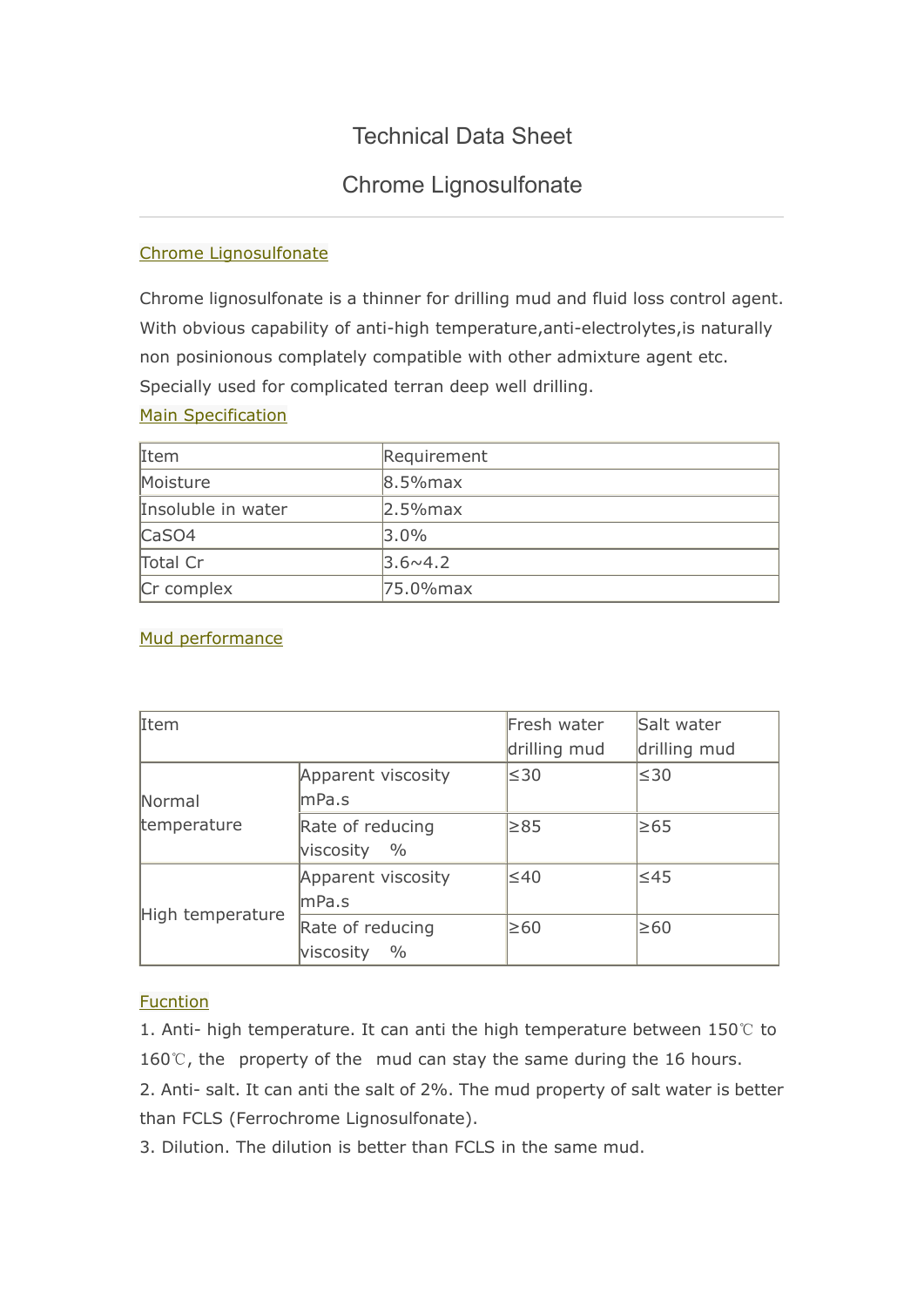# Technical Data Sheet

## Chrome Lignosulfonate

## Chrome Lignosulfonate

Chrome lignosulfonate is a thinner for drilling mud and fluid loss control agent. With obvious capability of anti-high temperature,anti-electrolytes,is naturally non posinionous complately compatible with other admixture agent etc. Specially used for complicated terran deep well drilling.

#### Main Specification

| Item               | Requirement      |
|--------------------|------------------|
| Moisture           | $8.5%$ max       |
| Insoluble in water | $2.5%$ max       |
| $\textsf{CaSO4}$   | $3.0\%$          |
| Total Cr           | $3.6 \times 4.2$ |
| Cr complex         | 75.0% max        |

## Mud performance

| Item                  |                                                | Fresh water<br>drilling mud | Salt water<br>drilling mud |
|-----------------------|------------------------------------------------|-----------------------------|----------------------------|
| Normal<br>temperature | Apparent viscosity<br>mPa.s                    | $\leq 30$                   | $\leq 30$                  |
|                       | Rate of reducing<br>$\frac{0}{0}$<br>viscosity | $\geq 85$                   | ≥65                        |
| High temperature      | Apparent viscosity<br> mPa.s                   | $\leq 40$                   | $\leq 45$                  |
|                       | Rate of reducing<br>$\frac{0}{0}$<br>viscosity | $\geq 60$                   | $\geq 60$                  |

## Fucntion

1. Anti- high temperature. It can anti the high temperature between 150℃ to 160℃, the property of the mud can stay the same during the 16 hours. 2. Anti- salt. It can anti the salt of 2%. The mud property of salt water is better

than FCLS (Ferrochrome Lignosulfonate).

3. Dilution. The dilution is better than FCLS in the same mud.